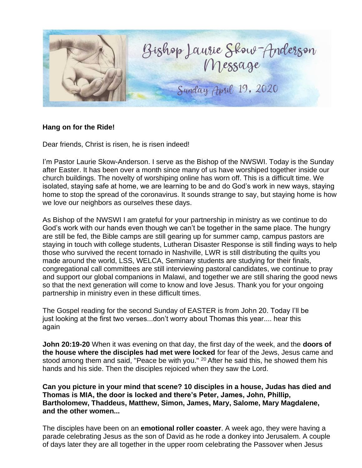

## **Hang on for the Ride!**

Dear friends, Christ is risen, he is risen indeed!

I'm Pastor Laurie Skow-Anderson. I serve as the Bishop of the NWSWI. Today is the Sunday after Easter. It has been over a month since many of us have worshiped together inside our church buildings. The novelty of worshiping online has worn off. This is a difficult time. We isolated, staying safe at home, we are learning to be and do God's work in new ways, staying home to stop the spread of the coronavirus. It sounds strange to say, but staying home is how we love our neighbors as ourselves these days.

As Bishop of the NWSWI I am grateful for your partnership in ministry as we continue to do God's work with our hands even though we can't be together in the same place. The hungry are still be fed, the Bible camps are still gearing up for summer camp, campus pastors are staying in touch with college students, Lutheran Disaster Response is still finding ways to help those who survived the recent tornado in Nashville, LWR is still distributing the quilts you made around the world, LSS, WELCA, Seminary students are studying for their finals, congregational call committees are still interviewing pastoral candidates, we continue to pray and support our global companions in Malawi, and together we are still sharing the good news so that the next generation will come to know and love Jesus. Thank you for your ongoing partnership in ministry even in these difficult times.

The Gospel reading for the second Sunday of EASTER is from John 20. Today I'll be just looking at the first two verses...don't worry about Thomas this year.... hear this again

**John 20:19-20** When it was evening on that day, the first day of the week, and the **doors of the house where the disciples had met were locked** for fear of the Jews, Jesus came and stood among them and said, "Peace be with you."  $20$  After he said this, he showed them his hands and his side. Then the disciples rejoiced when they saw the Lord.

**Can you picture in your mind that scene? 10 disciples in a house, Judas has died and Thomas is MIA, the door is locked and there's Peter, James, John, Phillip, Bartholomew, Thaddeus, Matthew, Simon, James, Mary, Salome, Mary Magdalene, and the other women...**

The disciples have been on an **emotional roller coaster**. A week ago, they were having a parade celebrating Jesus as the son of David as he rode a donkey into Jerusalem. A couple of days later they are all together in the upper room celebrating the Passover when Jesus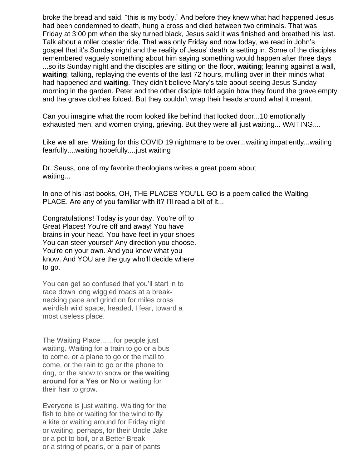broke the bread and said, "this is my body." And before they knew what had happened Jesus had been condemned to death, hung a cross and died between two criminals. That was Friday at 3:00 pm when the sky turned black, Jesus said it was finished and breathed his last. Talk about a roller coaster ride. That was only Friday and now today, we read in John's gospel that it's Sunday night and the reality of Jesus' death is setting in. Some of the disciples remembered vaguely something about him saying something would happen after three days ...so its Sunday night and the disciples are sitting on the floor, **waiting**; leaning against a wall, **waiting**; talking, replaying the events of the last 72 hours, mulling over in their minds what had happened and **waiting**. They didn't believe Mary's tale about seeing Jesus Sunday morning in the garden. Peter and the other disciple told again how they found the grave empty and the grave clothes folded. But they couldn't wrap their heads around what it meant.

Can you imagine what the room looked like behind that locked door...10 emotionally exhausted men, and women crying, grieving. But they were all just waiting... WAITING....

Like we all are. Waiting for this COVID 19 nightmare to be over...waiting impatiently...waiting fearfully....waiting hopefully....just waiting

Dr. Seuss, one of my favorite theologians writes a great poem about waiting...

In one of his last books, OH, THE PLACES YOU'LL GO is a poem called the Waiting PLACE. Are any of you familiar with it? I'll read a bit of it...

Congratulations! Today is your day. You're off to Great Places! You're off and away! You have brains in your head. You have feet in your shoes You can steer yourself Any direction you choose. You're on your own. And you know what you know. And YOU are the guy who'll decide where to go.

You can get so confused that you'll start in to race down long wiggled roads at a breaknecking pace and grind on for miles cross weirdish wild space, headed, I fear, toward a most useless place.

The Waiting Place... ...for people just waiting. Waiting for a train to go or a bus to come, or a plane to go or the mail to come, or the rain to go or the phone to ring, or the snow to snow **or the waiting around for a Yes or No** or waiting for their hair to grow.

Everyone is just waiting. Waiting for the fish to bite or waiting for the wind to fly a kite or waiting around for Friday night or waiting, perhaps, for their Uncle Jake or a pot to boil, or a Better Break or a string of pearls, or a pair of pants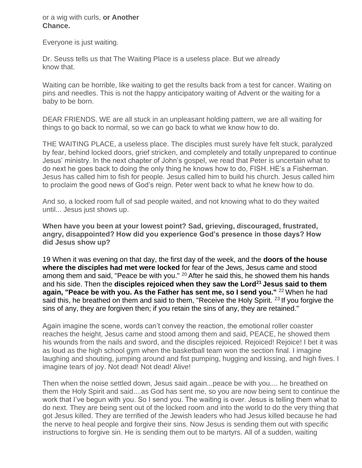or a wig with curls, **or Another Chance.**

Everyone is just waiting.

Dr. Seuss tells us that The Waiting Place is a useless place. But we already know that.

Waiting can be horrible, like waiting to get the results back from a test for cancer. Waiting on pins and needles. This is not the happy anticipatory waiting of Advent or the waiting for a baby to be born.

DEAR FRIENDS. WE are all stuck in an unpleasant holding pattern, we are all waiting for things to go back to normal, so we can go back to what we know how to do.

THE WAITING PLACE, a useless place. The disciples must surely have felt stuck, paralyzed by fear, behind locked doors, grief stricken, and completely and totally unprepared to continue Jesus' ministry. In the next chapter of John's gospel, we read that Peter is uncertain what to do next he goes back to doing the only thing he knows how to do, FISH. HE's a Fisherman. Jesus has called him to fish for people. Jesus called him to build his church. Jesus called him to proclaim the good news of God's reign. Peter went back to what he knew how to do.

And so, a locked room full of sad people waited, and not knowing what to do they waited until... Jesus just shows up.

**When have you been at your lowest point? Sad, grieving, discouraged, frustrated, angry, disappointed? How did you experience God's presence in those days? How did Jesus show up?**

19 When it was evening on that day, the first day of the week, and the **doors of the house where the disciples had met were locked** for fear of the Jews, Jesus came and stood among them and said, "Peace be with you."  $20$  After he said this, he showed them his hands and his side. Then the **disciples rejoiced when they saw the Lord<sup>21</sup>Jesus said to them again, "Peace be with you. As the Father has sent me, so I send you."** <sup>22</sup>When he had said this, he breathed on them and said to them, "Receive the Holy Spirit. <sup>23</sup> If you forgive the sins of any, they are forgiven then; if you retain the sins of any, they are retained."

Again imagine the scene, words can't convey the reaction, the emotional roller coaster reaches the height, Jesus came and stood among them and said, PEACE, he showed them his wounds from the nails and sword, and the disciples rejoiced. Rejoiced! Rejoice! I bet it was as loud as the high school gym when the basketball team won the section final. I imagine laughing and shouting, jumping around and fist pumping, hugging and kissing, and high fives. I imagine tears of joy. Not dead! Not dead! Alive!

Then when the noise settled down, Jesus said again...peace be with you.... he breathed on them the Holy Spirit and said....as God has sent me, so you are now being sent to continue the work that I've begun with you. So I send you. The waiting is over. Jesus is telling them what to do next. They are being sent out of the locked room and into the world to do the very thing that got Jesus killed. They are terrified of the Jewish leaders who had Jesus killed because he had the nerve to heal people and forgive their sins. Now Jesus is sending them out with specific instructions to forgive sin. He is sending them out to be martyrs. All of a sudden, waiting